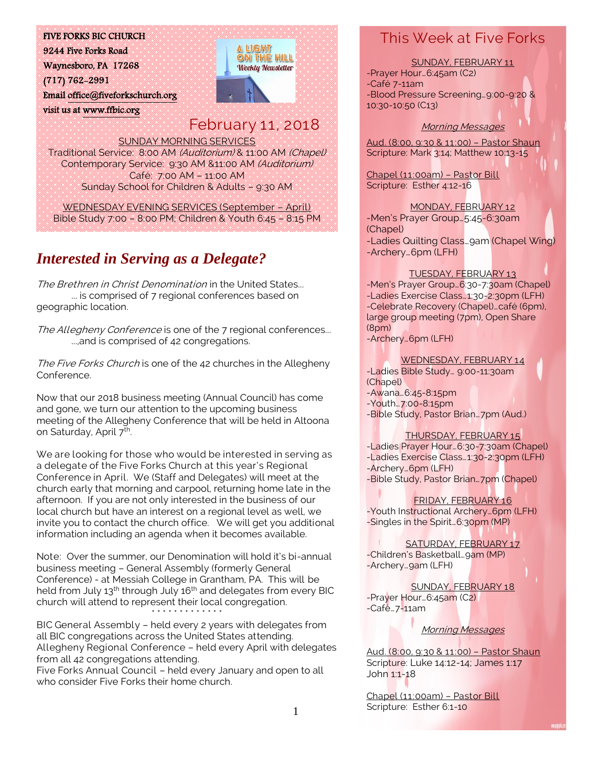#### FIVE FORKS BIC CHURCH

9244 Five Forks Road Waynesboro, PA 17268 (717) 762-2991 Email [office@fiveforkschurch.org](mailto:office@fiveforkschurch.org)  visit us a[t www.ffbic.org](http://www.ffbic.org/) 



# February 11, 2018

SUNDAY MORNING SERVICES Traditional Service: 8:00 AM (Auditorium) & 11:00 AM (Chapel) Contemporary Service: 9:30 AM &11:00 AM (Auditorium) Café: 7:00 AM – 11:00 AM Sunday School for Children & Adults – 9:30 AM

WEDNESDAY EVENING SERVICES (September – April) Bible Study 7:00 – 8:00 PM; Children & Youth 6:45 – 8:15 PM

## *Interested in Serving as a Delegate?*

The Brethren in Christ Denomination in the United States... ... is comprised of 7 regional conferences based on geographic location.

The Allegheny Conference is one of the 7 regional conferences... ...,and is comprised of 42 congregations.

The Five Forks Church is one of the 42 churches in the Allegheny Conference.

Now that our 2018 business meeting (Annual Council) has come and gone, we turn our attention to the upcoming business meeting of the Allegheny Conference that will be held in Altoona on Saturday, April 7<sup>th</sup>. .

We are looking for those who would be interested in serving as a delegate of the Five Forks Church at this year's Regional Conference in April. We (Staff and Delegates) will meet at the church early that morning and carpool, returning home late in the afternoon. If you are not only interested in the business of our local church but have an interest on a regional level as well, we invite you to contact the church office. We will get you additional information including an agenda when it becomes available.

Note: Over the summer, our Denomination will hold it's bi-annual business meeting – General Assembly (formerly General Conference) - at Messiah College in Grantham, PA. This will be held from July 13<sup>th</sup> through July 16<sup>th</sup> and delegates from every BIC church will attend to represent their local congregation. \* \* \* \* \* \* \* \* \* \* \* \* \*

BIC General Assembly – held every 2 years with delegates from all BIC congregations across the United States attending. Allegheny Regional Conference – held every April with delegates from all 42 congregations attending.

Five Forks Annual Council – held every January and open to all who consider Five Forks their home church.

### This Week at Five Forks

SUNDAY, FEBRUARY 11 -Prayer Hour…6:45am (C2) -Café 7-11am -Blood Pressure Screening…9:00-9:20 & 10:30-10:50 (C13)

#### Morning Messages

Aud. (8:00, 9:30 & 11:00) – Pastor Shaun Scripture: Mark 3:14; Matthew 10:13-15

Chapel (11:00am) – Pastor Bill Scripture: Esther 4:12-16

MONDAY, FEBRUARY 12 -Men's Prayer Group…5:45-6:30am (Chapel) -Ladies Quilting Class…9am (Chapel Wing) -Archery…6pm (LFH)

#### TUESDAY, FEBRUARY 13

-Men's Prayer Group…6:30-7:30am (Chapel) -Ladies Exercise Class…1:30-2:30pm (LFH) -Celebrate Recovery (Chapel)…café (6pm), large group meeting (7pm), Open Share (8pm) -Archery…6pm (LFH)

WEDNESDAY, FEBRUARY 14

-Ladies Bible Study… 9:00-11:30am (Chapel) -Awana…6:45-8:15pm -Youth…7:00-8:15pm -Bible Study, Pastor Brian…7pm (Aud.)

#### THURSDAY, FEBRUARY 15

-Ladies Prayer Hour…6:30-7:30am (Chapel) -Ladies Exercise Class…1:30-2:30pm (LFH) -Archery…6pm (LFH) -Bible Study, Pastor Brian…7pm (Chapel)

FRIDAY, FEBRUARY 16 -Youth Instructional Archery…6pm (LFH) -Singles in the Spirit…6:30pm (MP)

SATURDAY, FEBRUARY 17 -Children's Basketball... 9am (MP) -Archery...gam (LFH)

SUNDAY, FEBRUARY 18 -Prayer Hour…6:45am (C2) -Café…7-11am

Morning Messages

Aud. (8:00, 9:30 & 11:00) – Pastor Shaun Scripture: Luke 14:12-14; James 1:17 John 1:1-18

Chapel (11:00am) – Pastor Bill Scripture: Esther 6:1-10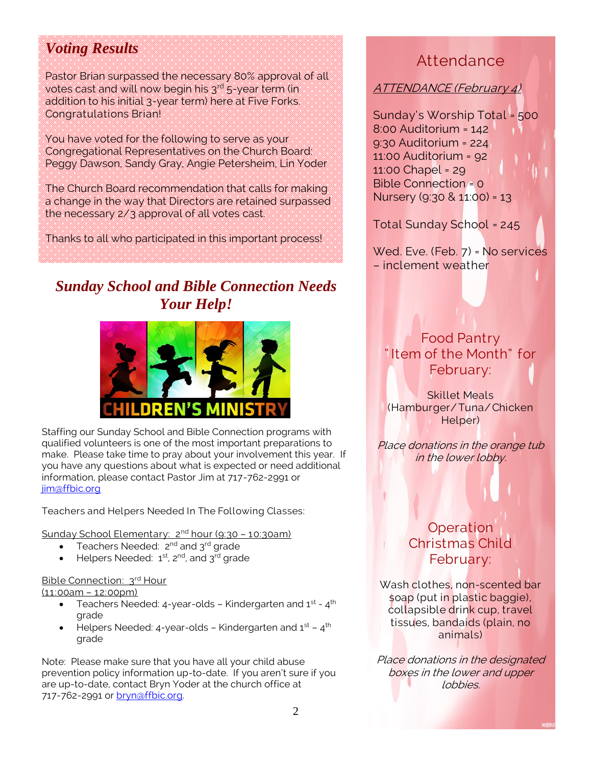## *Voting Results*

Pastor Brian surpassed the necessary 80% approval of all votes cast and will now begin his  $3^{rd}$  5-year term (in addition to his initial 3-year term) here at Five Forks. Congratulations Brian!

You have voted for the following to serve as your Congregational Representatives on the Church Board: Peggy Dawson, Sandy Gray, Angie Petersheim, Lin Yoder

The Church Board recommendation that calls for making a change in the way that Directors are retained surpassed the necessary 2/3 approval of all votes cast.

Thanks to all who participated in this important process!

## *Sunday School and Bible Connection Needs Your Help!*



Staffing our Sunday School and Bible Connection programs with qualified volunteers is one of the most important preparations to make. Please take time to pray about your involvement this year. If you have any questions about what is expected or need additional information, please contact Pastor Jim at 717-762-2991 or [jim@ffbic.org](mailto:jim@ffbic.org)

Teachers and Helpers Needed In The Following Classes:

Sunday School Elementary: 2<sup>nd</sup> hour (9:30 - 10:30am)

- Teachers Needed: 2<sup>nd</sup> and 3<sup>rd</sup> grade
- Helpers Needed: 1st, 2<sup>nd</sup>, and 3<sup>rd</sup> grade

#### Bible Connection: 3<sup>rd</sup> Hour

(11:00am – 12:00pm)

- $\bullet$  Teachers Needed: 4-year-olds Kindergarten and 1st 4th grade
- $\bullet$  Helpers Needed: 4-year-olds Kindergarten and 1st 4th grade

Note: Please make sure that you have all your child abuse prevention policy information up-to-date. If you aren't sure if you are up-to-date, contact Bryn Yoder at the church office at 717-762-2991 or [bryn@ffbic.org.](mailto:bryn@ffbic.org)

## Attendance

ATTENDANCE (February 4)

Sunday's Worship Total = 500 8:00 Auditorium = 142 9:30 Auditorium = 224 11:00 Auditorium = 92 11:00 Chapel = 29 Bible Connection = 0 Nursery (9:30 & 11:00) = 13

Total Sunday School = 245

Wed. Eve. (Feb. 7) = No services – inclement weather

### Food Pantry " Item of the Month" for February:

Skillet Meals (Hamburger/ Tuna/Chicken Helper)

Place donations in the orange tub in the lower lobby.

### **Operation** Christmas Child February:

Wash clothes, non-scented bar soap (put in plastic baggie), collapsible drink cup, travel tissues, bandaids (plain, no animals)

Place donations in the designated boxes in the lower and upper lobbies.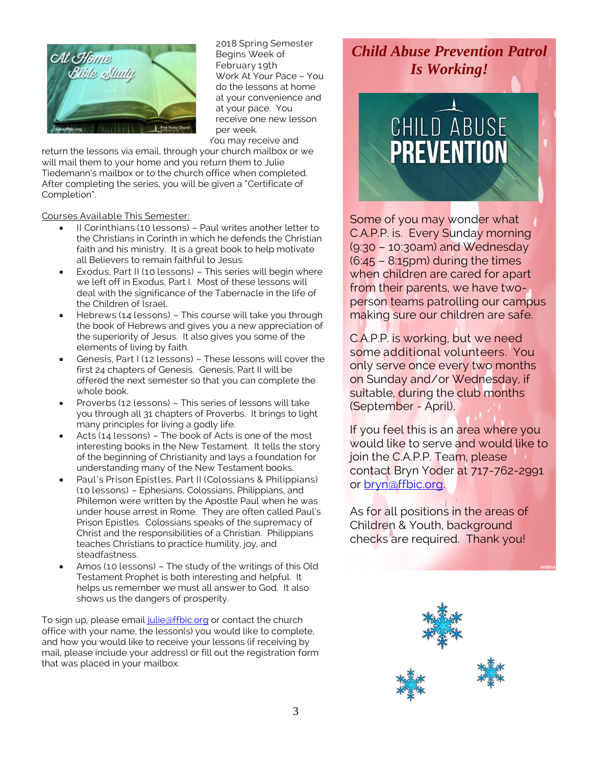

2018 Spring Semester Begins Week of February 19th Work At Your Pace – You do the lessons at home at your convenience and at your pace. You receive one new lesson per week. You may receive and

return the lessons via email, through your church mailbox or we will mail them to your home and you return them to Julie Tiedemann's mailbox or to the church office when completed. After completing the series, you will be given a "Certificate of Completion".

Courses Available This Semester:

- II Corinthians (10 lessons) Paul writes another letter to the Christians in Corinth in which he defends the Christian faith and his ministry. It is a great book to help motivate all Believers to remain faithful to Jesus.
- Exodus, Part II (10 lessons) This series will begin where we left off in Exodus, Part I. Most of these lessons will deal with the significance of the Tabernacle in the life of the Children of Israel.
- Hebrews (14 lessons) This course will take you through the book of Hebrews and gives you a new appreciation of the superiority of Jesus. It also gives you some of the elements of living by faith.
- Genesis, Part I (12 lessons) These lessons will cover the first 24 chapters of Genesis. Genesis, Part II will be offered the next semester so that you can complete the whole book.
- Proverbs (12 lessons) This series of lessons will take you through all 31 chapters of Proverbs. It brings to light many principles for living a godly life.
- Acts (14 lessons) The book of Acts is one of the most interesting books in the New Testament. It tells the story of the beginning of Christianity and lays a foundation for understanding many of the New Testament books.
- Paul's Prison Epistles, Part II (Colossians & Philippians) (10 lessons) – Ephesians, Colossians, Philippians, and Philemon were written by the Apostle Paul when he was under house arrest in Rome. They are often called Paul's Prison Epistles. Colossians speaks of the supremacy of Christ and the responsibilities of a Christian. Philippians teaches Christians to practice humility, joy, and steadfastness.
- Amos (10 lessons) The study of the writings of this Old Testament Prophet is both interesting and helpful. It helps us remember we must all answer to God. It also shows us the dangers of prosperity.

To sign up, please email [julie@ffbic.org](mailto:julie@ffbic.org) or contact the church office with your name, the lesson(s) you would like to complete, and how you would like to receive your lessons (if receiving by mail, please include your address) or fill out the registration form that was placed in your mailbox.

### *Child Abuse Prevention Patrol Is Working!*



Some of you may wonder what C.A.P.P. is. Every Sunday morning (9:30 – 10:30am) and Wednesday  $(6:45 - 8:15)$  during the times when children are cared for apart from their parents, we have twoperson teams patrolling our campus making sure our children are safe.

C.A.P.P. is working, but we need some additional volunteers. You only serve once every two months on Sunday and/or Wednesday, if suitable, during the club months (September - April).

If you feel this is an area where you would like to serve and would like to join the C.A.P.P. Team, please contact Bryn Yoder at 717-762-2991 or [bryn@ffbic.org.](mailto:bryn@ffbic.org)

As for all positions in the areas of Children & Youth, background checks are required. Thank you!

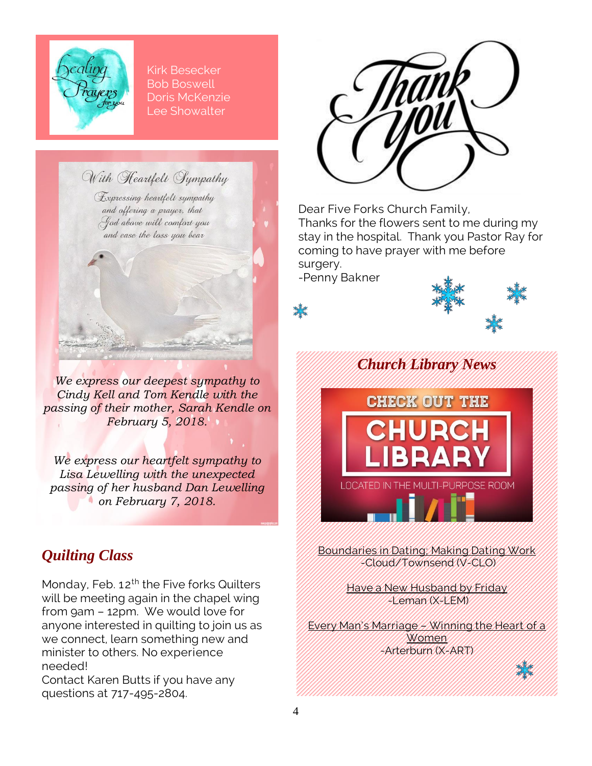

Kirk Besecker Bob Boswell Doris McKenzie Lee Showalter

With Heartfelt Sympathy

Expressing heartfelt sympathy and offering a prayer, that God above will comfort you and ease the lass you bear



*We express our heartfelt sympathy to Lisa Lewelling with the unexpected passing of her husband Dan Lewelling on February 7, 2018.*

## *Quilting Class*

Monday, Feb. 12<sup>th</sup> the Five forks Quilters will be meeting again in the chapel wing from 9am – 12pm. We would love for anyone interested in quilting to join us as we connect, learn something new and minister to others. No experience needed!

Contact Karen Butts if you have any questions at 717-495-2804.



Dear Five Forks Church Family, Thanks for the flowers sent to me during my stay in the hospital. Thank you Pastor Ray for coming to have prayer with me before surgery.

-Penny Bakner

饕





Boundaries in Dating; Making Dating Work -Cloud/Townsend (V-CLO)

> Have a New Husband by Friday -Leman (X-LEM)

Every Man's Marriage – Winning the Heart of a **Women** -Arterburn (X-ART)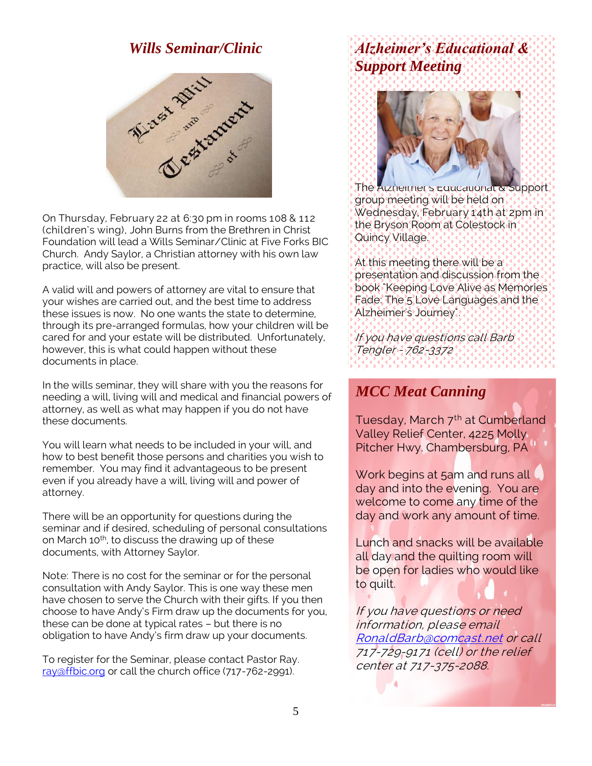### *Wills Seminar/Clinic*



On Thursday, February 22 at 6:30 pm in rooms 108 & 112 (children's wing), John Burns from the Brethren in Christ Foundation will lead a Wills Seminar/Clinic at Five Forks BIC Church. Andy Saylor, a Christian attorney with his own law practice, will also be present.

A valid will and powers of attorney are vital to ensure that your wishes are carried out, and the best time to address these issues is now. No one wants the state to determine, through its pre-arranged formulas, how your children will be cared for and your estate will be distributed. Unfortunately, however, this is what could happen without these documents in place.

In the wills seminar, they will share with you the reasons for needing a will, living will and medical and financial powers of attorney, as well as what may happen if you do not have these documents.

You will learn what needs to be included in your will, and how to best benefit those persons and charities you wish to remember. You may find it advantageous to be present even if you already have a will, living will and power of attorney.

There will be an opportunity for questions during the seminar and if desired, scheduling of personal consultations on March 10<sup>th</sup>, to discuss the drawing up of these documents, with Attorney Saylor.

Note: There is no cost for the seminar or for the personal consultation with Andy Saylor. This is one way these men have chosen to serve the Church with their gifts. If you then choose to have Andy's Firm draw up the documents for you, these can be done at typical rates – but there is no obligation to have Andy's firm draw up your documents.

To register for the Seminar, please contact Pastor Ray. [ray@ffbic.org](mailto:ray@ffbic.org) or call the church office (717-762-2991).

# *Alzheimer's Educational & Support Meeting*



The Alzneimer's Educational & Support. group meeting will be held on Wednesday, February 14th at 2pm in the Bryson Room at Colestock in Quincy Village.

At this meeting there will be a presentation and discussion from the book "Keeping Love Alive as Memories Fade: The 5 Love Languages and the Alzheimer's Journey".

If you have questions call Barb Tengler - 762-3372

### *MCC Meat Canning*

Tuesday, March 7<sup>th</sup> at Cumberland Valley Relief Center, 4225 Molly Pitcher Hwy. Chambersburg, PA

Work begins at 5am and runs all day and into the evening. You are welcome to come any time of the day and work any amount of time.

Lunch and snacks will be available all day and the quilting room will be open for ladies who would like to quilt.

If you have questions or need information, please email [RonaldBarb@comcast.net](mailto:RonaldBarb@comcast.net) or call 717-729-9171 (cell) or the relief center at 717-375-2088.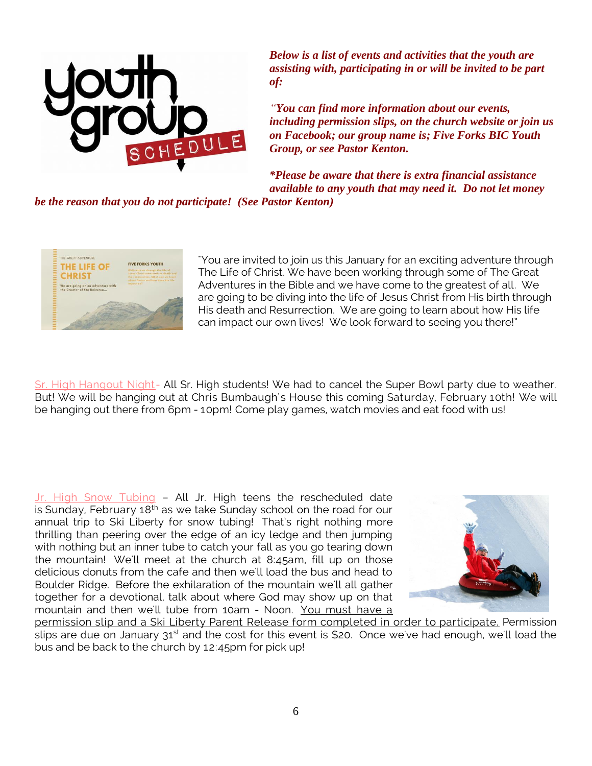

*Below is a list of events and activities that the youth are assisting with, participating in or will be invited to be part of:*

*"You can find more information about our events, including permission slips, on the church website or join us on Facebook; our group name is; Five Forks BIC Youth Group, or see Pastor Kenton.*

*\*Please be aware that there is extra financial assistance available to any youth that may need it. Do not let money* 

*be the reason that you do not participate! (See Pastor Kenton)*



"You are invited to join us this January for an exciting adventure through The Life of Christ. We have been working through some of The Great Adventures in the Bible and we have come to the greatest of all. We are going to be diving into the life of Jesus Christ from His birth through His death and Resurrection. We are going to learn about how His life can impact our own lives! We look forward to seeing you there!"

Sr. High Hangout Night- All Sr. High students! We had to cancel the Super Bowl party due to weather. But! We will be hanging out at Chris Bumbaugh's House this coming Saturday, February 10th! We will be hanging out there from 6pm - 10pm! Come play games, watch movies and eat food with us!

Jr. High Snow Tubing - All Jr. High teens the rescheduled date is Sunday, February  $18<sup>th</sup>$  as we take Sunday school on the road for our annual trip to Ski Liberty for snow tubing! That's right nothing more thrilling than peering over the edge of an icy ledge and then jumping with nothing but an inner tube to catch your fall as you go tearing down the mountain! We'll meet at the church at 8:45am, fill up on those delicious donuts from the cafe and then we'll load the bus and head to Boulder Ridge. Before the exhilaration of the mountain we'll all gather together for a devotional, talk about where God may show up on that mountain and then we'll tube from 10am - Noon. You must have a



permission slip and a Ski Liberty Parent Release form completed in order to participate. Permission slips are due on January  $31^{st}$  and the cost for this event is \$20. Once we've had enough, we'll load the bus and be back to the church by 12:45pm for pick up!